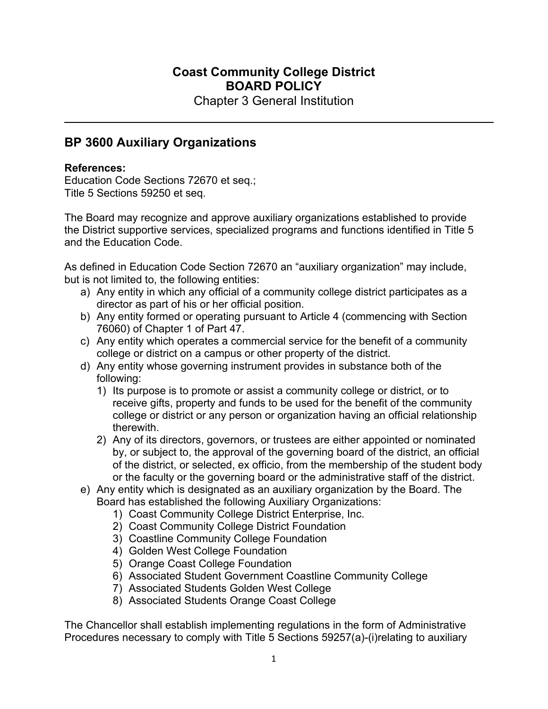## **Coast Community College District BOARD POLICY**

Chapter 3 General Institution

## **BP 3600 Auxiliary Organizations**

## **References:**

Education Code Sections 72670 et seq.; Title 5 Sections 59250 et seq.

The Board may recognize and approve auxiliary organizations established to provide the District supportive services, specialized programs and functions identified in Title 5 and the Education Code.

As defined in Education Code Section 72670 an "auxiliary organization" may include, but is not limited to, the following entities:

- a) Any entity in which any official of a community college district participates as a director as part of his or her official position.
- b) Any entity formed or operating pursuant to Article 4 (commencing with Section 76060) of Chapter 1 of Part 47.
- c) Any entity which operates a commercial service for the benefit of a community college or district on a campus or other property of the district.
- d) Any entity whose governing instrument provides in substance both of the following:
	- 1) Its purpose is to promote or assist a community college or district, or to receive gifts, property and funds to be used for the benefit of the community college or district or any person or organization having an official relationship therewith.
	- 2) Any of its directors, governors, or trustees are either appointed or nominated by, or subject to, the approval of the governing board of the district, an official of the district, or selected, ex officio, from the membership of the student body or the faculty or the governing board or the administrative staff of the district.
- e) Any entity which is designated as an auxiliary organization by the Board. The Board has established the following Auxiliary Organizations:
	- 1) Coast Community College District Enterprise, Inc.
	- 2) Coast Community College District Foundation
	- 3) Coastline Community College Foundation
	- 4) Golden West College Foundation
	- 5) Orange Coast College Foundation
	- 6) Associated Student Government Coastline Community College
	- 7) Associated Students Golden West College
	- 8) Associated Students Orange Coast College

The Chancellor shall establish implementing regulations in the form of Administrative Procedures necessary to comply with Title 5 Sections 59257(a)-(i)relating to auxiliary